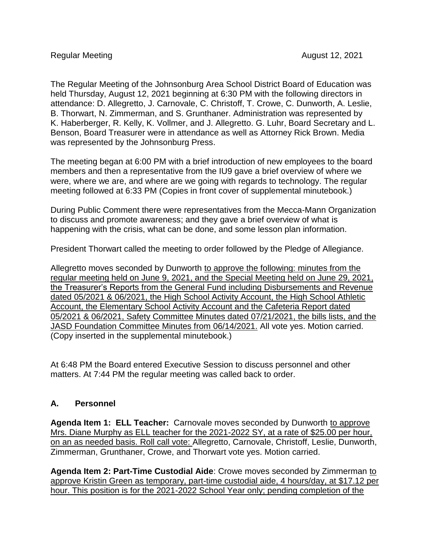The Regular Meeting of the Johnsonburg Area School District Board of Education was held Thursday, August 12, 2021 beginning at 6:30 PM with the following directors in attendance: D. Allegretto, J. Carnovale, C. Christoff, T. Crowe, C. Dunworth, A. Leslie, B. Thorwart, N. Zimmerman, and S. Grunthaner. Administration was represented by K. Haberberger, R. Kelly, K. Vollmer, and J. Allegretto. G. Luhr, Board Secretary and L. Benson, Board Treasurer were in attendance as well as Attorney Rick Brown. Media was represented by the Johnsonburg Press.

The meeting began at 6:00 PM with a brief introduction of new employees to the board members and then a representative from the IU9 gave a brief overview of where we were, where we are, and where are we going with regards to technology. The regular meeting followed at 6:33 PM (Copies in front cover of supplemental minutebook.)

During Public Comment there were representatives from the Mecca-Mann Organization to discuss and promote awareness; and they gave a brief overview of what is happening with the crisis, what can be done, and some lesson plan information.

President Thorwart called the meeting to order followed by the Pledge of Allegiance.

Allegretto moves seconded by Dunworth to approve the following: minutes from the regular meeting held on June 9, 2021, and the Special Meeting held on June 29, 2021, the Treasurer's Reports from the General Fund including Disbursements and Revenue dated 05/2021 & 06/2021, the High School Activity Account, the High School Athletic Account, the Elementary School Activity Account and the Cafeteria Report dated 05/2021 & 06/2021, Safety Committee Minutes dated 07/21/2021, the bills lists, and the JASD Foundation Committee Minutes from 06/14/2021. All vote yes. Motion carried. (Copy inserted in the supplemental minutebook.)

At 6:48 PM the Board entered Executive Session to discuss personnel and other matters. At 7:44 PM the regular meeting was called back to order.

## **A. Personnel**

**Agenda Item 1: ELL Teacher:** Carnovale moves seconded by Dunworth to approve Mrs. Diane Murphy as ELL teacher for the 2021-2022 SY, at a rate of \$25.00 per hour, on an as needed basis. Roll call vote: Allegretto, Carnovale, Christoff, Leslie, Dunworth, Zimmerman, Grunthaner, Crowe, and Thorwart vote yes. Motion carried.

**Agenda Item 2: Part-Time Custodial Aide**: Crowe moves seconded by Zimmerman to approve Kristin Green as temporary, part-time custodial aide, 4 hours/day, at \$17.12 per hour. This position is for the 2021-2022 School Year only; pending completion of the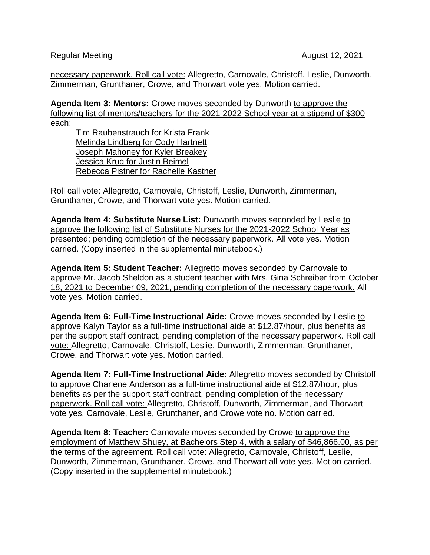Regular Meeting August 12, 2021

necessary paperwork. Roll call vote: Allegretto, Carnovale, Christoff, Leslie, Dunworth, Zimmerman, Grunthaner, Crowe, and Thorwart vote yes. Motion carried.

**Agenda Item 3: Mentors:** Crowe moves seconded by Dunworth to approve the following list of mentors/teachers for the 2021-2022 School year at a stipend of \$300 each:

Tim Raubenstrauch for Krista Frank Melinda Lindberg for Cody Hartnett Joseph Mahoney for Kyler Breakey Jessica Krug for Justin Beimel Rebecca Pistner for Rachelle Kastner

Roll call vote: Allegretto, Carnovale, Christoff, Leslie, Dunworth, Zimmerman, Grunthaner, Crowe, and Thorwart vote yes. Motion carried.

**Agenda Item 4: Substitute Nurse List:** Dunworth moves seconded by Leslie to approve the following list of Substitute Nurses for the 2021-2022 School Year as presented; pending completion of the necessary paperwork. All vote yes. Motion carried. (Copy inserted in the supplemental minutebook.)

**Agenda Item 5: Student Teacher:** Allegretto moves seconded by Carnovale to approve Mr. Jacob Sheldon as a student teacher with Mrs. Gina Schreiber from October 18, 2021 to December 09, 2021, pending completion of the necessary paperwork. All vote yes. Motion carried.

**Agenda Item 6: Full-Time Instructional Aide:** Crowe moves seconded by Leslie to approve Kalyn Taylor as a full-time instructional aide at \$12.87/hour, plus benefits as per the support staff contract, pending completion of the necessary paperwork. Roll call vote: Allegretto, Carnovale, Christoff, Leslie, Dunworth, Zimmerman, Grunthaner, Crowe, and Thorwart vote yes. Motion carried.

**Agenda Item 7: Full-Time Instructional Aide:** Allegretto moves seconded by Christoff to approve Charlene Anderson as a full-time instructional aide at \$12.87/hour, plus benefits as per the support staff contract, pending completion of the necessary paperwork. Roll call vote: Allegretto, Christoff, Dunworth, Zimmerman, and Thorwart vote yes. Carnovale, Leslie, Grunthaner, and Crowe vote no. Motion carried.

**Agenda Item 8: Teacher:** Carnovale moves seconded by Crowe to approve the employment of Matthew Shuey, at Bachelors Step 4, with a salary of \$46,866.00, as per the terms of the agreement. Roll call vote: Allegretto, Carnovale, Christoff, Leslie, Dunworth, Zimmerman, Grunthaner, Crowe, and Thorwart all vote yes. Motion carried. (Copy inserted in the supplemental minutebook.)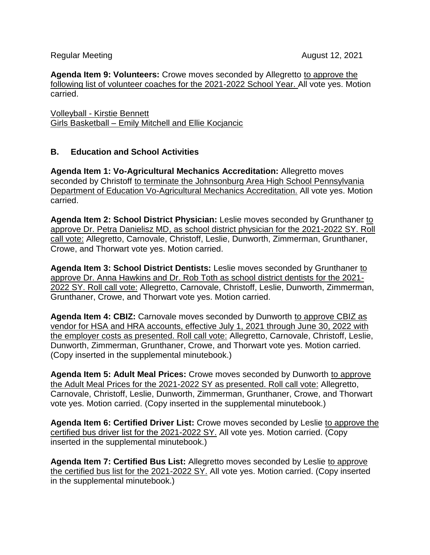Regular Meeting August 12, 2021

**Agenda Item 9: Volunteers:** Crowe moves seconded by Allegretto to approve the following list of volunteer coaches for the 2021-2022 School Year. All vote yes. Motion carried.

Volleyball - Kirstie Bennett Girls Basketball – Emily Mitchell and Ellie Kocjancic

## **B. Education and School Activities**

**Agenda Item 1: Vo-Agricultural Mechanics Accreditation:** Allegretto moves seconded by Christoff to terminate the Johnsonburg Area High School Pennsylvania Department of Education Vo-Agricultural Mechanics Accreditation. All vote yes. Motion carried.

**Agenda Item 2: School District Physician:** Leslie moves seconded by Grunthaner to approve Dr. Petra Danielisz MD, as school district physician for the 2021-2022 SY. Roll call vote: Allegretto, Carnovale, Christoff, Leslie, Dunworth, Zimmerman, Grunthaner, Crowe, and Thorwart vote yes. Motion carried.

**Agenda Item 3: School District Dentists:** Leslie moves seconded by Grunthaner to approve Dr. Anna Hawkins and Dr. Rob Toth as school district dentists for the 2021- 2022 SY. Roll call vote: Allegretto, Carnovale, Christoff, Leslie, Dunworth, Zimmerman, Grunthaner, Crowe, and Thorwart vote yes. Motion carried.

**Agenda Item 4: CBIZ:** Carnovale moves seconded by Dunworth to approve CBIZ as vendor for HSA and HRA accounts, effective July 1, 2021 through June 30, 2022 with the employer costs as presented. Roll call vote: Allegretto, Carnovale, Christoff, Leslie, Dunworth, Zimmerman, Grunthaner, Crowe, and Thorwart vote yes. Motion carried. (Copy inserted in the supplemental minutebook.)

**Agenda Item 5: Adult Meal Prices:** Crowe moves seconded by Dunworth to approve the Adult Meal Prices for the 2021-2022 SY as presented. Roll call vote: Allegretto, Carnovale, Christoff, Leslie, Dunworth, Zimmerman, Grunthaner, Crowe, and Thorwart vote yes. Motion carried. (Copy inserted in the supplemental minutebook.)

**Agenda Item 6: Certified Driver List:** Crowe moves seconded by Leslie to approve the certified bus driver list for the 2021-2022 SY. All vote yes. Motion carried. (Copy inserted in the supplemental minutebook.)

**Agenda Item 7: Certified Bus List:** Allegretto moves seconded by Leslie to approve the certified bus list for the 2021-2022 SY. All vote yes. Motion carried. (Copy inserted in the supplemental minutebook.)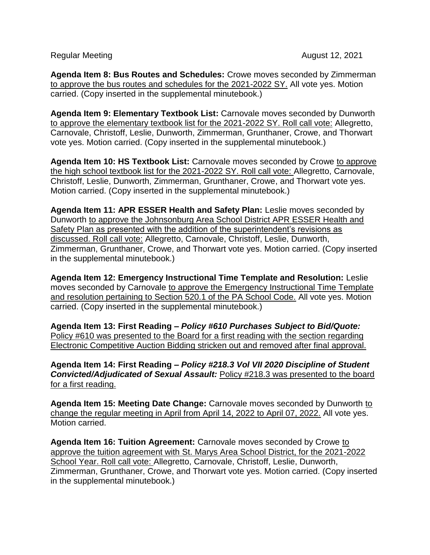Regular Meeting August 12, 2021

**Agenda Item 8: Bus Routes and Schedules:** Crowe moves seconded by Zimmerman to approve the bus routes and schedules for the 2021-2022 SY. All vote yes. Motion carried. (Copy inserted in the supplemental minutebook.)

**Agenda Item 9: Elementary Textbook List:** Carnovale moves seconded by Dunworth to approve the elementary textbook list for the 2021-2022 SY. Roll call vote: Allegretto, Carnovale, Christoff, Leslie, Dunworth, Zimmerman, Grunthaner, Crowe, and Thorwart vote yes. Motion carried. (Copy inserted in the supplemental minutebook.)

**Agenda Item 10: HS Textbook List:** Carnovale moves seconded by Crowe to approve the high school textbook list for the 2021-2022 SY. Roll call vote: Allegretto, Carnovale, Christoff, Leslie, Dunworth, Zimmerman, Grunthaner, Crowe, and Thorwart vote yes. Motion carried. (Copy inserted in the supplemental minutebook.)

**Agenda Item 11: APR ESSER Health and Safety Plan:** Leslie moves seconded by Dunworth to approve the Johnsonburg Area School District APR ESSER Health and Safety Plan as presented with the addition of the superintendent's revisions as discussed. Roll call vote: Allegretto, Carnovale, Christoff, Leslie, Dunworth, Zimmerman, Grunthaner, Crowe, and Thorwart vote yes. Motion carried. (Copy inserted in the supplemental minutebook.)

**Agenda Item 12: Emergency Instructional Time Template and Resolution:** Leslie moves seconded by Carnovale to approve the Emergency Instructional Time Template and resolution pertaining to Section 520.1 of the PA School Code. All vote yes. Motion carried. (Copy inserted in the supplemental minutebook.)

**Agenda Item 13: First Reading –** *Policy #610 Purchases Subject to Bid/Quote:* Policy #610 was presented to the Board for a first reading with the section regarding Electronic Competitive Auction Bidding stricken out and removed after final approval.

**Agenda Item 14: First Reading –** *Policy #218.3 Vol VII 2020 Discipline of Student Convicted/Adjudicated of Sexual Assault:* Policy #218.3 was presented to the board for a first reading.

**Agenda Item 15: Meeting Date Change:** Carnovale moves seconded by Dunworth to change the regular meeting in April from April 14, 2022 to April 07, 2022. All vote yes. Motion carried.

**Agenda Item 16: Tuition Agreement:** Carnovale moves seconded by Crowe to approve the tuition agreement with St. Marys Area School District, for the 2021-2022 School Year. Roll call vote: Allegretto, Carnovale, Christoff, Leslie, Dunworth, Zimmerman, Grunthaner, Crowe, and Thorwart vote yes. Motion carried. (Copy inserted in the supplemental minutebook.)